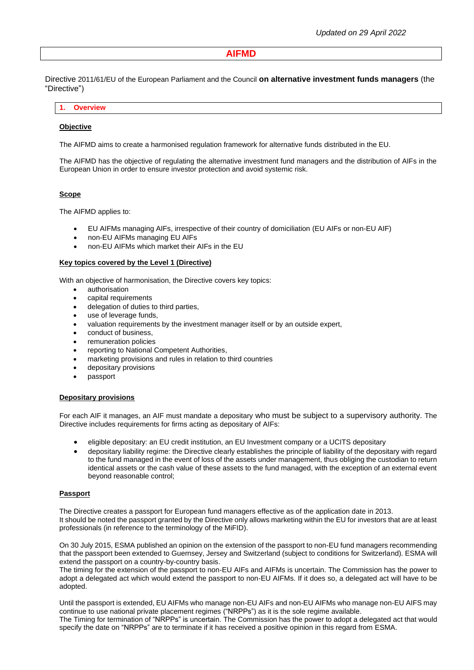# **AIFMD**

Directive 2011/61/EU of the European Parliament and the Council **on alternative investment funds managers** (the "Directive")

## **1. Overview**

### **Objective**

The AIFMD aims to create a harmonised regulation framework for alternative funds distributed in the EU.

The AIFMD has the objective of regulating the alternative investment fund managers and the distribution of AIFs in the European Union in order to ensure investor protection and avoid systemic risk.

### **Scope**

The AIFMD applies to:

- EU AIFMs managing AIFs, irrespective of their country of domiciliation (EU AIFs or non-EU AIF)
- non-EU AIFMs managing EU AIFs
- non-EU AIFMs which market their AIFs in the EU

#### **Key topics covered by the Level 1 (Directive)**

With an objective of harmonisation, the Directive covers key topics:

- authorisation
- capital requirements
- delegation of duties to third parties,
- use of leverage funds,
- valuation requirements by the investment manager itself or by an outside expert,
- conduct of business,
- remuneration policies
- reporting to National Competent Authorities,
- marketing provisions and rules in relation to third countries
- depositary provisions
- passport

#### **Depositary provisions**

For each AIF it manages, an AIF must mandate a depositary who must be subject to a supervisory authority. The Directive includes requirements for firms acting as depositary of AIFs:

- eligible depositary: an EU credit institution, an EU Investment company or a UCITS depositary
- depositary liability regime: the Directive clearly establishes the principle of liability of the depositary with regard to the fund managed in the event of loss of the assets under management, thus obliging the custodian to return identical assets or the cash value of these assets to the fund managed, with the exception of an external event beyond reasonable control;

### **Passport**

The Directive creates a passport for European fund managers effective as of the application date in 2013. It should be noted the passport granted by the Directive only allows marketing within the EU for investors that are at least professionals (in reference to the terminology of the MiFID).

On 30 July 2015, ESMA published an opinion on the extension of the passport to non-EU fund managers recommending that the passport been extended to Guernsey, Jersey and Switzerland (subject to conditions for Switzerland). ESMA will extend the passport on a country-by-country basis.

The timing for the extension of the passport to non-EU AIFs and AIFMs is uncertain. The Commission has the power to adopt a delegated act which would extend the passport to non-EU AIFMs. If it does so, a delegated act will have to be adopted.

Until the passport is extended, EU AIFMs who manage non-EU AIFs and non-EU AIFMs who manage non-EU AIFS may continue to use national private placement regimes ("NRPPs") as it is the sole regime available.

The Timing for termination of "NRPPs" is uncertain. The Commission has the power to adopt a delegated act that would specify the date on "NRPPs" are to terminate if it has received a positive opinion in this regard from ESMA.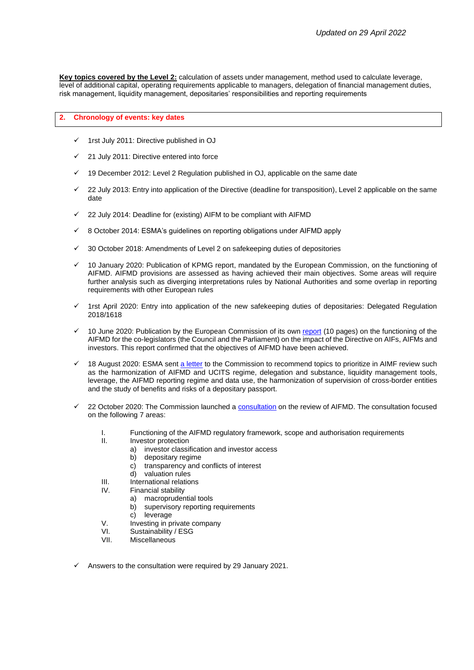**Key topics covered by the Level 2:** calculation of assets under management, method used to calculate leverage, level of additional capital, operating requirements applicable to managers, delegation of financial management duties, risk management, liquidity management, depositaries' responsibilities and reporting requirements

### **2. Chronology of events: key dates**

- 1rst July 2011: Directive published in OJ
- 21 July 2011: Directive entered into force
- 19 December 2012: Level 2 Regulation published in OJ, applicable on the same date
- 22 July 2013: Entry into application of the Directive (deadline for transposition), Level 2 applicable on the same date
- 22 July 2014: Deadline for (existing) AIFM to be compliant with AIFMD
- ✓ 8 October 2014: ESMA's guidelines on reporting obligations under AIFMD apply
- 30 October 2018: Amendments of Level 2 on safekeeping duties of depositories
- 10 January 2020: Publication of KPMG report, mandated by the European Commission, on the functioning of AIFMD. AIFMD provisions are assessed as having achieved their main objectives. Some areas will require further analysis such as diverging interpretations rules by National Authorities and some overlap in reporting requirements with other European rules
- 1rst April 2020: Entry into application of the new safekeeping duties of depositaries: Delegated Regulation 2018/1618
- 10 June 2020: Publication by the European Commission of its own [report](https://ec.europa.eu/transparency/regdoc/rep/1/2020/EN/COM-2020-232-F1-EN-MAIN-PART-1.PDF) (10 pages) on the functioning of the AIFMD for the co-legislators (the Council and the Parliament) on the impact of the Directive on AIFs, AIFMs and investors. This report confirmed that the objectives of AIFMD have been achieved.
- 18 August 2020: ESMA sent [a letter](https://www.esma.europa.eu/sites/default/files/library/esma34-32-551_esma_letter_on_aifmd_review.pdf) to the Commission to recommend topics to prioritize in AIMF review such as the harmonization of AIFMD and UCITS regime, delegation and substance, liquidity management tools, leverage, the AIFMD reporting regime and data use, the harmonization of supervision of cross-border entities and the study of benefits and risks of a depositary passport.
- 22 October 2020: The Commission launched a [consultation](https://ec.europa.eu/info/files/2020-aifmd-review-consultation-document_en) on the review of AIFMD. The consultation focused on the following 7 areas:
	- I. Functioning of the AIFMD regulatory framework, scope and authorisation requirements
	- Investor protection
		- a) investor classification and investor access
		- b) depositary regime
		- c) transparency and conflicts of interest<br>d) valuation rules
		- valuation rules
	- III. International relations
	- IV. Financial stability
		- a) macroprudential tools
		- b) supervisory reporting requirements
		- c) leverage
	- V. Investing in private company
	- VI. Sustainability / ESG
	- VII. Miscellaneous
- Answers to the consultation were required by 29 January 2021.